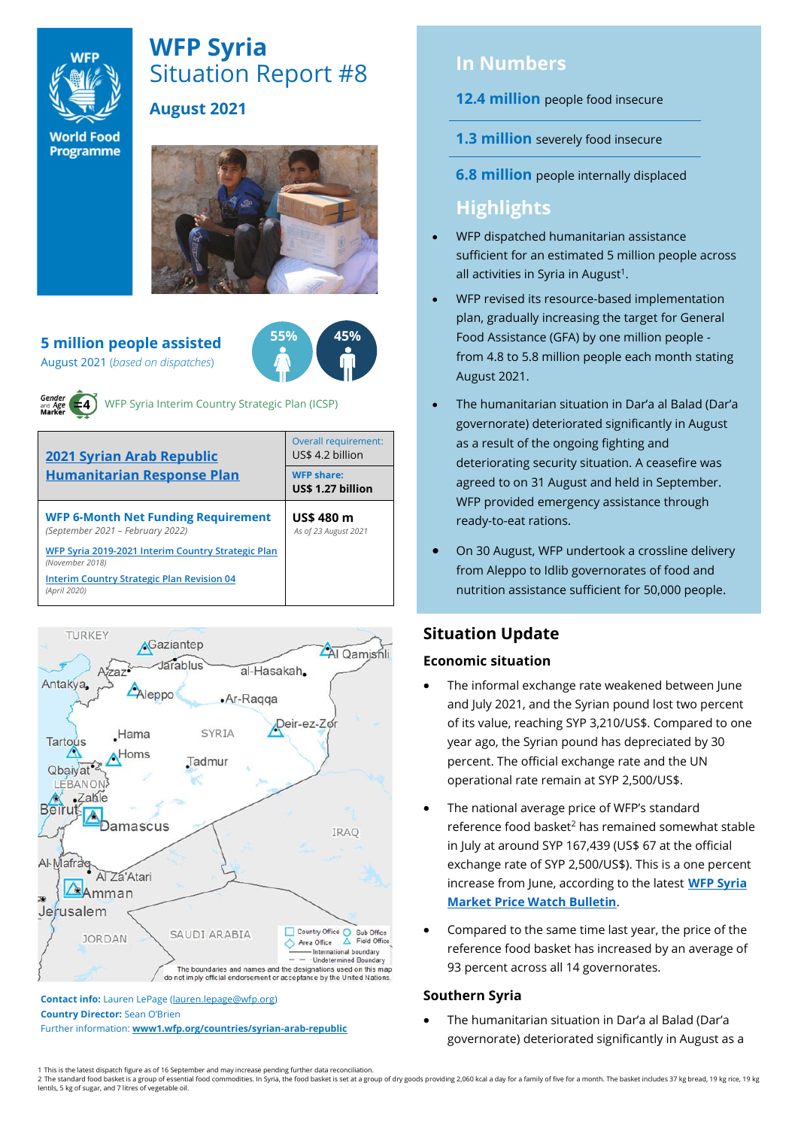

# **WFP Syria** Situation Report #8 **August 2021**

**World Food** Programme

#### **5 million people assisted** August 2021 (*based on dispatches*)



WFP Syria Interim Country Strategic Plan (ICSP)

| <b>2021 Syrian Arab Republic</b><br><b>Humanitarian Response Plan</b>          | Overall requirement:<br>US\$ 4.2 billion |  |  |
|--------------------------------------------------------------------------------|------------------------------------------|--|--|
|                                                                                | <b>WFP share:</b><br>US\$ 1.27 billion   |  |  |
| <b>WFP 6-Month Net Funding Requirement</b><br>(September 2021 – February 2022) | <b>US\$480 m</b><br>As of 23 August 2021 |  |  |
| WFP Syria 2019-2021 Interim Country Strategic Plan<br>(November 2018)          |                                          |  |  |
| <b>Interim Country Strategic Plan Revision 04</b><br>(April 2020)              |                                          |  |  |



**Contact info:** Lauren LePage [\(lauren.lepage@wfp.org\)](mailto:lauren.lepage@wfp.org) **Country Director:** Sean O'Brien

Further information: **[www1.wfp.org/countries/syrian-arab-republic](file:///C:/Users/lauren.lepage/AppData/Local/Microsoft/Windows/INetCache/Content.Outlook/HTRVWXQN/www1.wfp.org/countries/syrian-arab-republic)**

# **In Numbers**

**12.4 million** people food insecure

- **1.3 million** severely food insecure
- **6.8 million** people internally displaced

# **Highlights**

- WFP dispatched humanitarian assistance sufficient for an estimated 5 million people across all activities in Syria in August<sup>1</sup>.
- WFP revised its resource-based implementation plan, gradually increasing the target for General Food Assistance (GFA) by one million people from 4.8 to 5.8 million people each month stating August 2021.
- The humanitarian situation in Dar'a al Balad (Dar'a governorate) deteriorated significantly in August as a result of the ongoing fighting and deteriorating security situation. A ceasefire was agreed to on 31 August and held in September. WFP provided emergency assistance through ready-to-eat rations.
- On 30 August, WFP undertook a crossline delivery from Aleppo to Idlib governorates of food and nutrition assistance sufficient for 50,000 people.

# **Situation Update**

## **Economic situation**

- The informal exchange rate weakened between June and July 2021, and the Syrian pound lost two percent of its value, reaching SYP 3,210/US\$. Compared to one year ago, the Syrian pound has depreciated by 30 percent. The official exchange rate and the UN operational rate remain at SYP 2,500/US\$.
- The national average price of WFP's standard reference food basket<sup>2</sup> has remained somewhat stable in July at around SYP 167,439 (US\$ 67 at the official exchange rate of SYP 2,500/US\$). This is a one percent increase from June, according to the latest **[WFP Syria](https://docs.wfp.org/api/documents/WFP-0000131536/download/)  [Market Price Watch Bulletin](https://docs.wfp.org/api/documents/WFP-0000131536/download/)**.
- Compared to the same time last year, the price of the reference food basket has increased by an average of 93 percent across all 14 governorates.

## **Southern Syria**

• The humanitarian situation in Dar'a al Balad (Dar'a governorate) deteriorated significantly in August as a

<sup>1</sup> This is the latest dispatch figure as of 16 September and may increase pending further data reconciliation.<br>2 The standard food basket is a group of essential food commodities. In Syria, the food basket is set at a group lentils, 5 kg of sugar, and 7 litres of vegetable oil.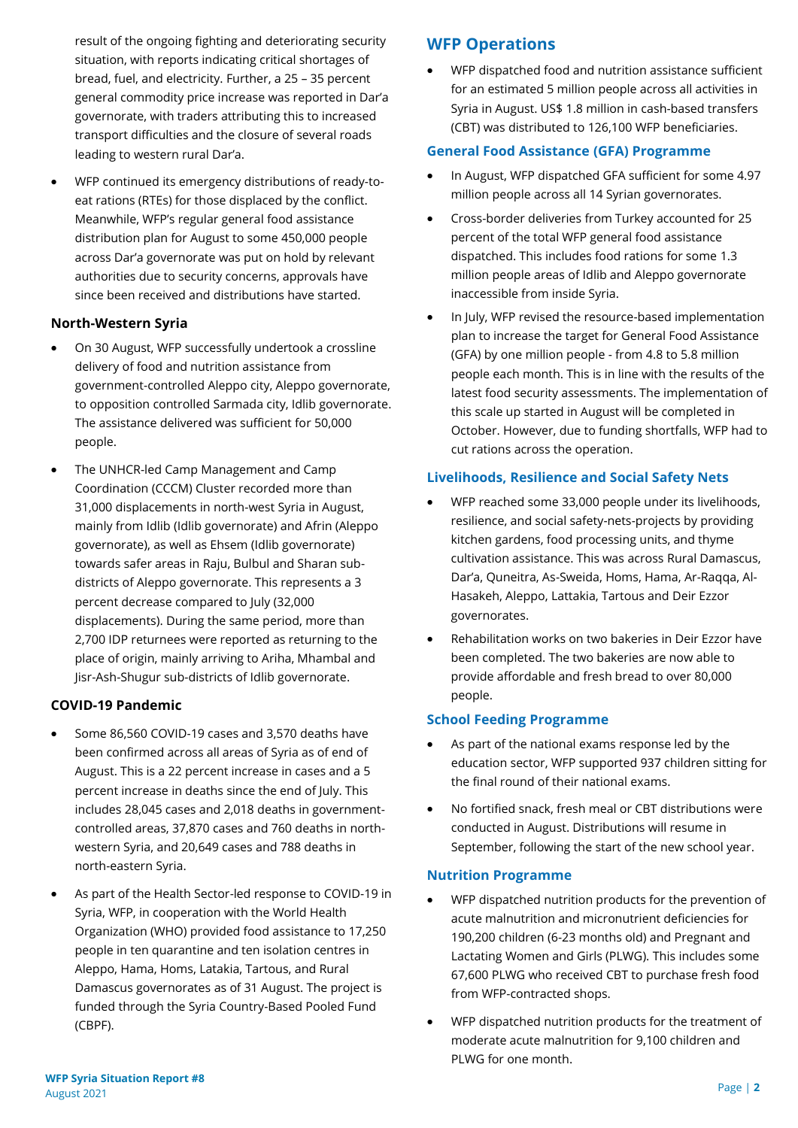result of the ongoing fighting and deteriorating security situation, with reports indicating critical shortages of bread, fuel, and electricity. Further, a 25 – 35 percent general commodity price increase was reported in Dar'a governorate, with traders attributing this to increased transport difficulties and the closure of several roads leading to western rural Dar'a.

• WFP continued its emergency distributions of ready-toeat rations (RTEs) for those displaced by the conflict. Meanwhile, WFP's regular general food assistance distribution plan for August to some 450,000 people across Dar'a governorate was put on hold by relevant authorities due to security concerns, approvals have since been received and distributions have started.

### **North-Western Syria**

- On 30 August, WFP successfully undertook a crossline delivery of food and nutrition assistance from government-controlled Aleppo city, Aleppo governorate, to opposition controlled Sarmada city, Idlib governorate. The assistance delivered was sufficient for 50,000 people.
- The UNHCR-led Camp Management and Camp Coordination (CCCM) Cluster recorded more than 31,000 displacements in north-west Syria in August, mainly from Idlib (Idlib governorate) and Afrin (Aleppo governorate), as well as Ehsem (Idlib governorate) towards safer areas in Raju, Bulbul and Sharan subdistricts of Aleppo governorate. This represents a 3 percent decrease compared to July (32,000 displacements). During the same period, more than 2,700 IDP returnees were reported as returning to the place of origin, mainly arriving to Ariha, Mhambal and Jisr-Ash-Shugur sub-districts of Idlib governorate.

## **COVID-19 Pandemic**

- Some 86,560 COVID-19 cases and 3,570 deaths have been confirmed across all areas of Syria as of end of August. This is a 22 percent increase in cases and a 5 percent increase in deaths since the end of July. This includes 28,045 cases and 2,018 deaths in governmentcontrolled areas, 37,870 cases and 760 deaths in northwestern Syria, and 20,649 cases and 788 deaths in north-eastern Syria.
- As part of the Health Sector-led response to COVID-19 in Syria, WFP, in cooperation with the World Health Organization (WHO) provided food assistance to 17,250 people in ten quarantine and ten isolation centres in Aleppo, Hama, Homs, Latakia, Tartous, and Rural Damascus governorates as of 31 August. The project is funded through the Syria Country-Based Pooled Fund (CBPF).

## **WFP Operations**

• WFP dispatched food and nutrition assistance sufficient for an estimated 5 million people across all activities in Syria in August. US\$ 1.8 million in cash-based transfers (CBT) was distributed to 126,100 WFP beneficiaries.

#### **General Food Assistance (GFA) Programme**

- In August, WFP dispatched GFA sufficient for some 4.97 million people across all 14 Syrian governorates.
- Cross-border deliveries from Turkey accounted for 25 percent of the total WFP general food assistance dispatched. This includes food rations for some 1.3 million people areas of Idlib and Aleppo governorate inaccessible from inside Syria.
- In July, WFP revised the resource-based implementation plan to increase the target for General Food Assistance (GFA) by one million people - from 4.8 to 5.8 million people each month. This is in line with the results of the latest food security assessments. The implementation of this scale up started in August will be completed in October. However, due to funding shortfalls, WFP had to cut rations across the operation.

#### **Livelihoods, Resilience and Social Safety Nets**

- WFP reached some 33,000 people under its livelihoods, resilience, and social safety-nets-projects by providing kitchen gardens, food processing units, and thyme cultivation assistance. This was across Rural Damascus, Dar'a, Quneitra, As-Sweida, Homs, Hama, Ar-Raqqa, Al-Hasakeh, Aleppo, Lattakia, Tartous and Deir Ezzor governorates.
- Rehabilitation works on two bakeries in Deir Ezzor have been completed. The two bakeries are now able to provide affordable and fresh bread to over 80,000 people.

#### **School Feeding Programme**

- As part of the national exams response led by the education sector, WFP supported 937 children sitting for the final round of their national exams.
- No fortified snack, fresh meal or CBT distributions were conducted in August. Distributions will resume in September, following the start of the new school year.

#### **Nutrition Programme**

- WFP dispatched nutrition products for the prevention of acute malnutrition and micronutrient deficiencies for 190,200 children (6-23 months old) and Pregnant and Lactating Women and Girls (PLWG). This includes some 67,600 PLWG who received CBT to purchase fresh food from WFP-contracted shops.
- WFP dispatched nutrition products for the treatment of moderate acute malnutrition for 9,100 children and PLWG for one month.